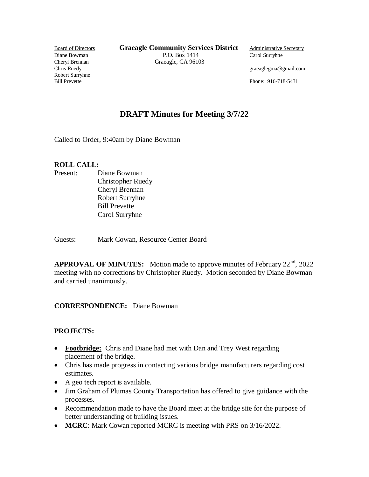Robert Surryhne

**Board of Directors <b>Graeagle Community Services District** Administrative Secretary Diane Bowman P.O. Box 1414 Carol Surryhne Cheryl Brennan Graeagle, CA 96103<br>Chris Ruedy

graeaglegma@gmail.com

Bill Prevette Phone: 916-718-5431

# **DRAFT Minutes for Meeting 3/7/22**

Called to Order, 9:40am by Diane Bowman

### **ROLL CALL:**

Present: Diane Bowman Christopher Ruedy Cheryl Brennan Robert Surryhne Bill Prevette Carol Surryhne

Guests: Mark Cowan, Resource Center Board

**APPROVAL OF MINUTES:** Motion made to approve minutes of February 22<sup>nd</sup>, 2022 meeting with no corrections by Christopher Ruedy. Motion seconded by Diane Bowman and carried unanimously.

## **CORRESPONDENCE:** Diane Bowman

### **PROJECTS:**

- **Footbridge:** Chris and Diane had met with Dan and Trey West regarding placement of the bridge.
- Chris has made progress in contacting various bridge manufacturers regarding cost estimates.
- A geo tech report is available.
- Jim Graham of Plumas County Transportation has offered to give guidance with the processes.
- Recommendation made to have the Board meet at the bridge site for the purpose of better understanding of building issues.
- **MCRC**: Mark Cowan reported MCRC is meeting with PRS on 3/16/2022.